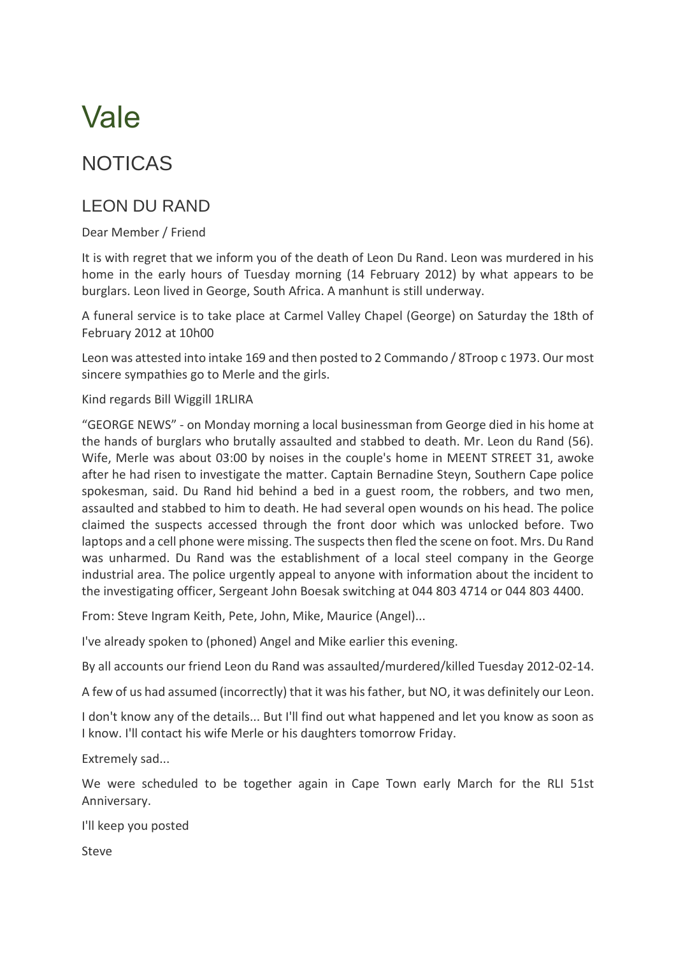## Vale

## NOTICAS

## LEON DU RAND

Dear Member / Friend

It is with regret that we inform you of the death of Leon Du Rand. Leon was murdered in his home in the early hours of Tuesday morning (14 February 2012) by what appears to be burglars. Leon lived in George, South Africa. A manhunt is still underway.

A funeral service is to take place at Carmel Valley Chapel (George) on Saturday the 18th of February 2012 at 10h00

Leon was attested into intake 169 and then posted to 2 Commando / 8Troop c 1973. Our most sincere sympathies go to Merle and the girls.

Kind regards Bill Wiggill 1RLIRA

"GEORGE NEWS" - on Monday morning a local businessman from George died in his home at the hands of burglars who brutally assaulted and stabbed to death. Mr. Leon du Rand (56). Wife, Merle was about 03:00 by noises in the couple's home in MEENT STREET 31, awoke after he had risen to investigate the matter. Captain Bernadine Steyn, Southern Cape police spokesman, said. Du Rand hid behind a bed in a guest room, the robbers, and two men, assaulted and stabbed to him to death. He had several open wounds on his head. The police claimed the suspects accessed through the front door which was unlocked before. Two laptops and a cell phone were missing. The suspects then fled the scene on foot. Mrs. Du Rand was unharmed. Du Rand was the establishment of a local steel company in the George industrial area. The police urgently appeal to anyone with information about the incident to the investigating officer, Sergeant John Boesak switching at 044 803 4714 or 044 803 4400.

From: Steve Ingram Keith, Pete, John, Mike, Maurice (Angel)...

I've already spoken to (phoned) Angel and Mike earlier this evening.

By all accounts our friend Leon du Rand was assaulted/murdered/killed Tuesday 2012-02-14.

A few of us had assumed (incorrectly) that it was his father, but NO, it was definitely our Leon.

I don't know any of the details... But I'll find out what happened and let you know as soon as I know. I'll contact his wife Merle or his daughters tomorrow Friday.

Extremely sad...

We were scheduled to be together again in Cape Town early March for the RLI 51st Anniversary.

I'll keep you posted

Steve